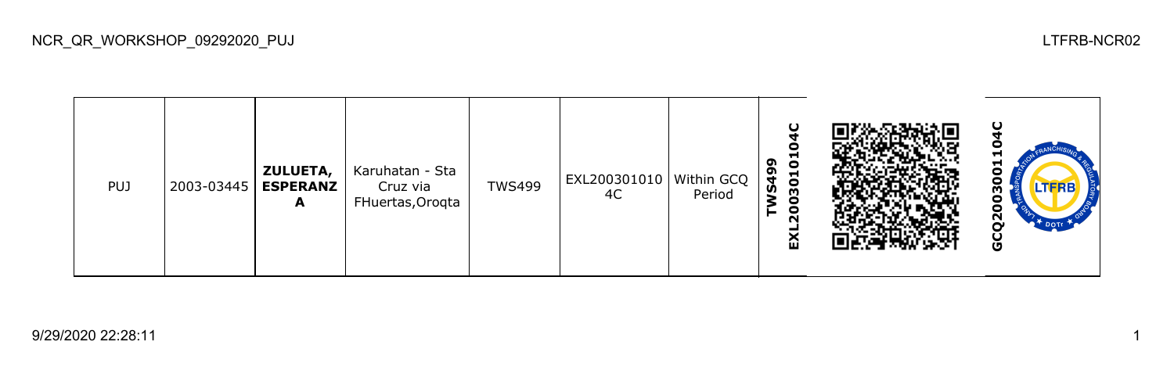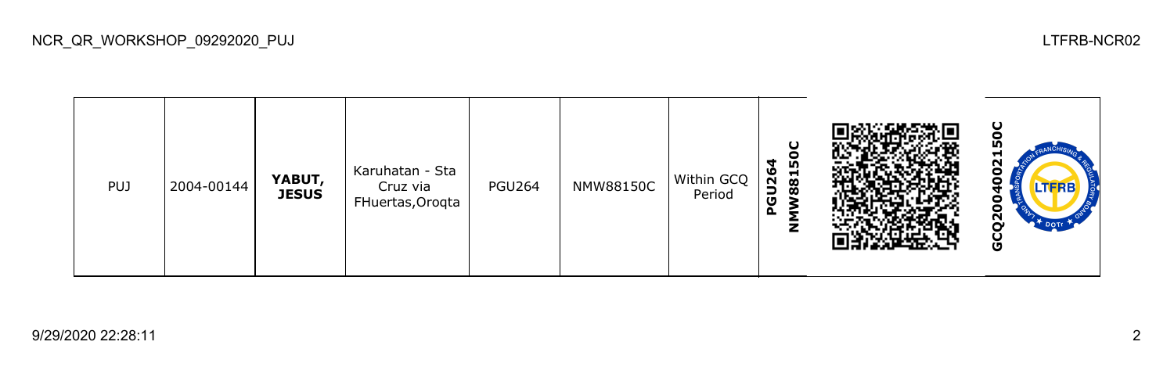50C **GCQ2004002150CNMW88150C** 2o Karuhatan - Sta **PGU264** PUJ 2004-00144 **YABUT,**  PGU264 | NMW88150C Within GCQ Ō Cruz via **JESUS** Period FHuertas,Oroqta 0 GCQ200

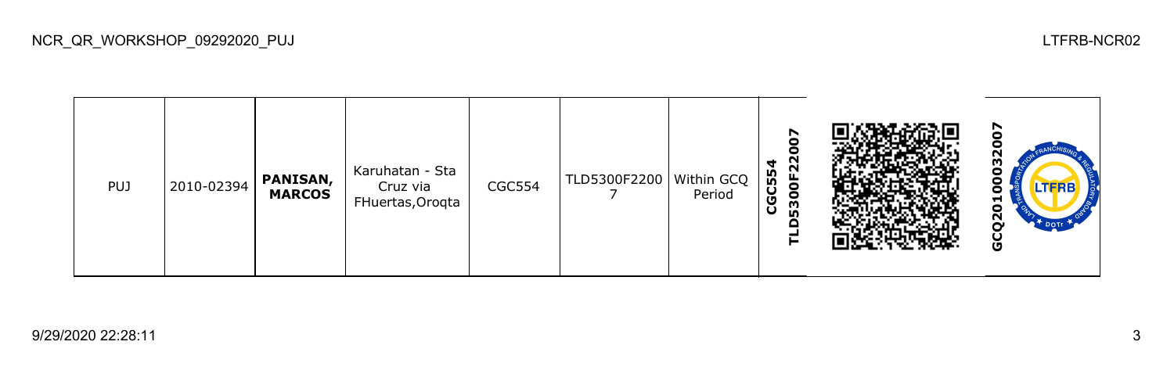**GCQ20100032007**2007 **TLD5300F22007** ပြီ **CGC554** Karuhatan - Sta PUJ 2010-02394 **PANISAN,**  CGC554 TLD5300F2200 Within GCQ 8 Cruz via **MARCOS** Period  $\overline{ }$ FHuertas,Oroqta 0 GCQ<sub>2</sub>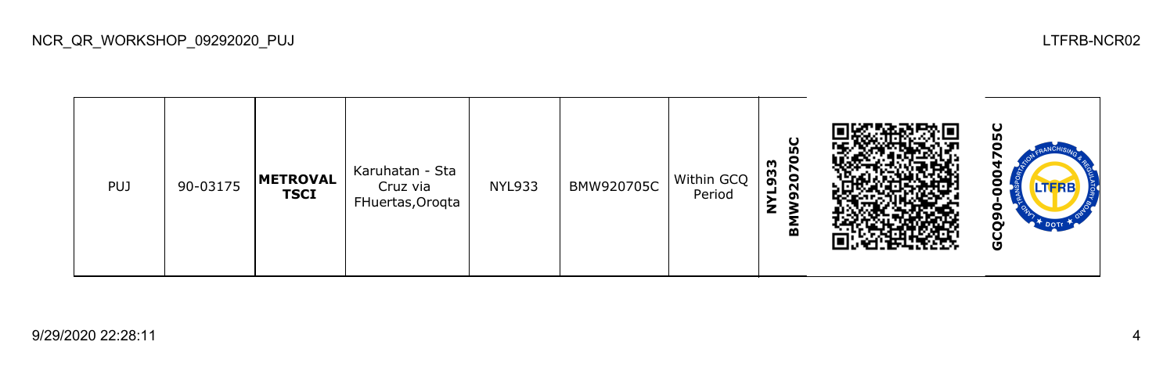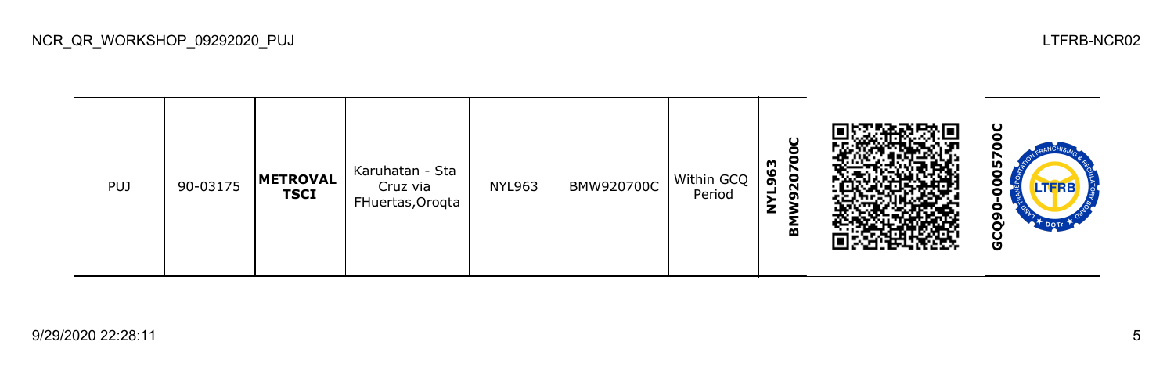႘ **GCQ90-0005700C**c **BMW920700C NYL963** Karuhatan - Sta PUJ 90-03175 **METROVAL**  NYL963 BMW920700C Within GCQ Cruz via ဠ **TSCI** Period FHuertas,Oroqta GCQ9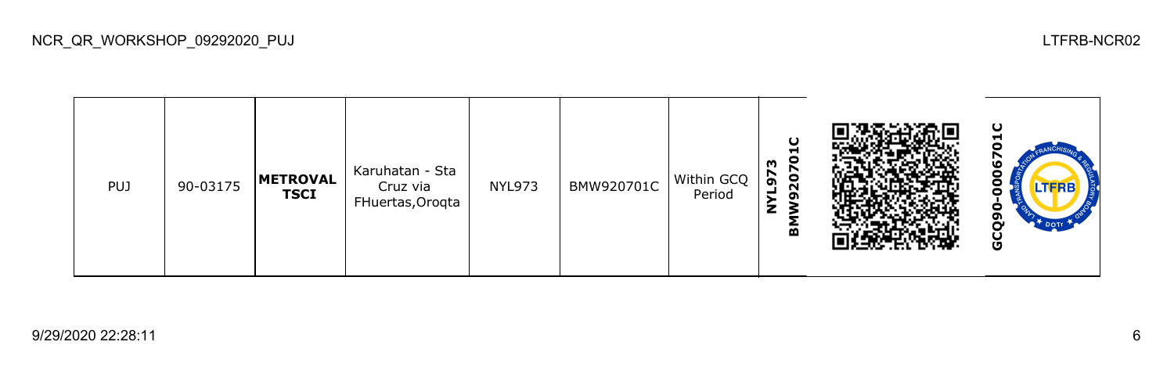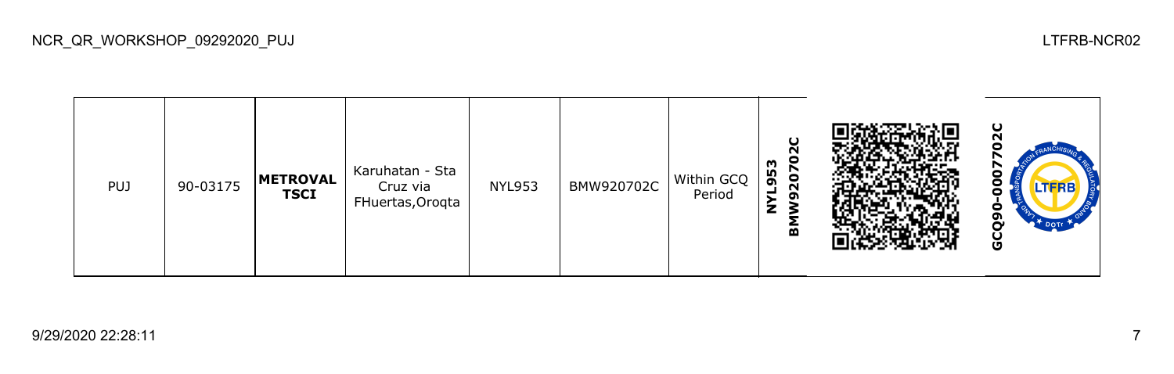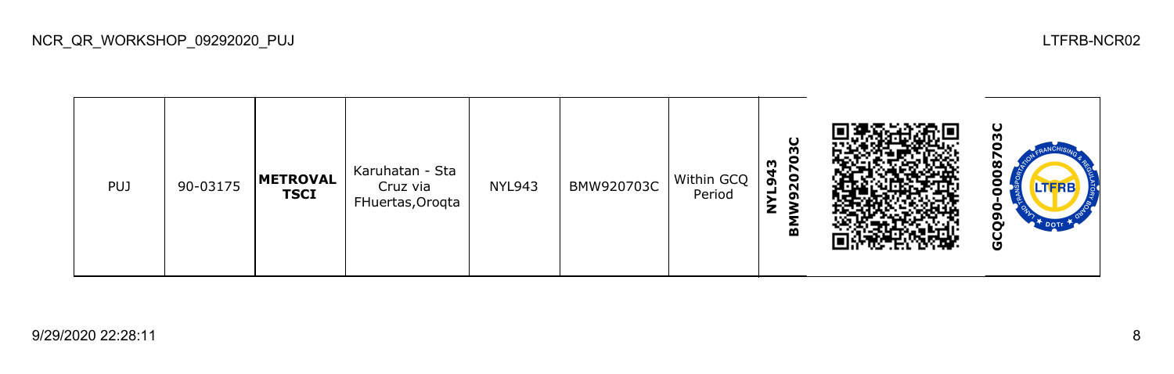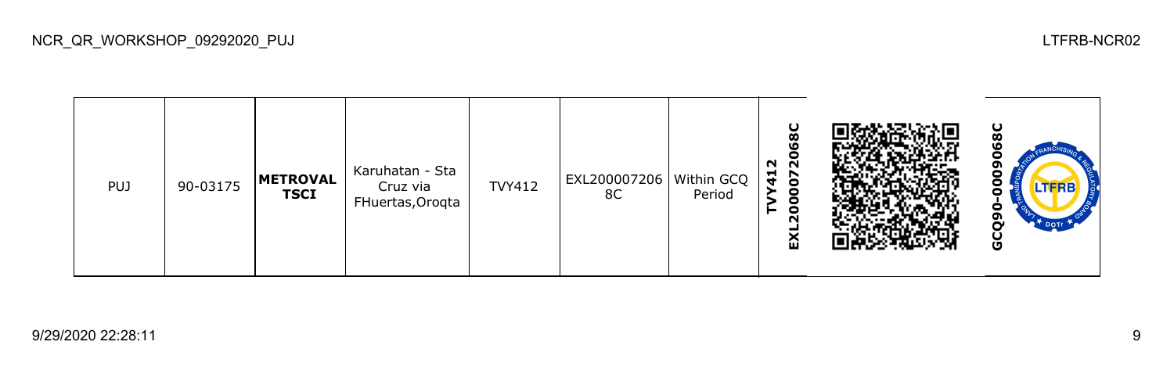**TVY412 EXL2000072068C 980 GCQ90-0009068C**o Karuhatan - Sta PUJ 90-03175 **METROVAL**  TVY412 EXL200007206 Within GCQ Cruz via c **TSCI** 8C Period c FHuertas,Oroqta GCQ9 区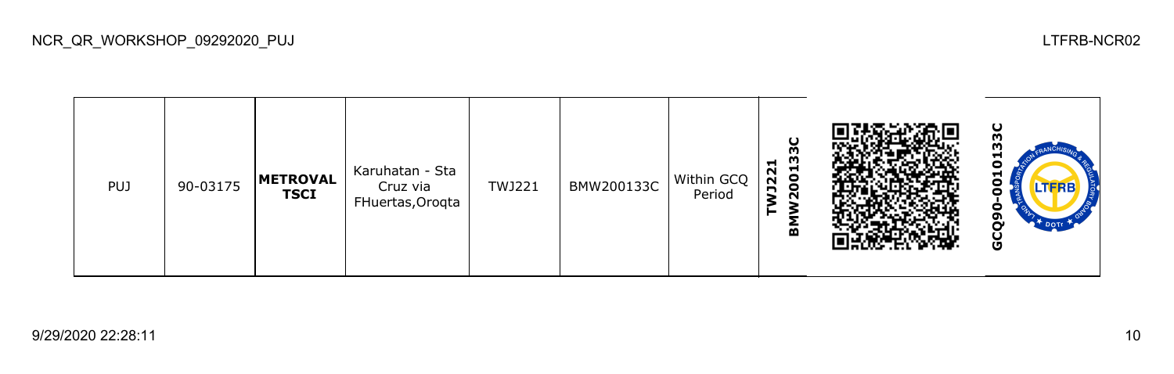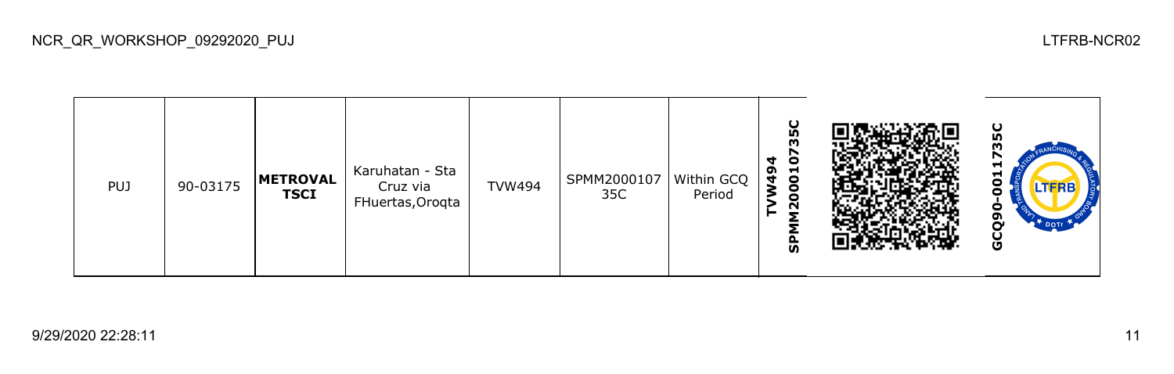**TVW494**<br>SPMM200010735C **SPMM200010735C** ပ္ပ **GCQ90-0011735C**m Karuhatan - Sta PUJ 90-03175 **METROVAL**  TVW494 SPMM2000107 Within GCQ Cruz via ဠ **TSCI** 35C Period FHuertas,Oroqta c GCQ9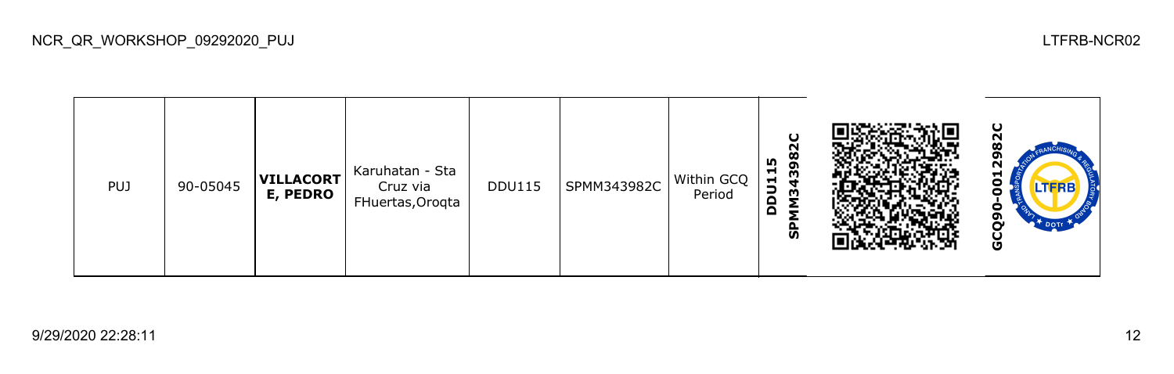82C **GCQ90-0012982CSPMM343982C DDU115** Karuhatan - Sta PUJ 90-05045 **VILLACORT** DDU115 SPMM343982C Within GCQ ဠ Cruz via **E, PEDRO** Period FHuertas,Oroqta c GCQ9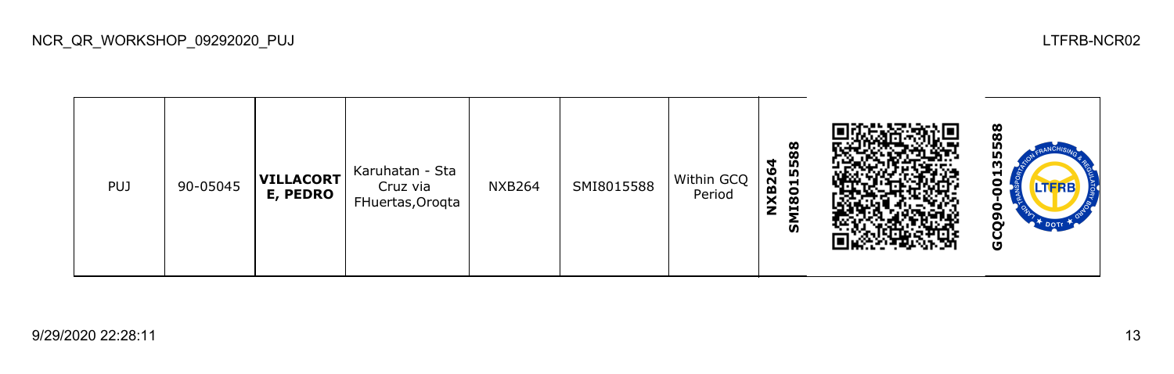588 **GCQ90-00135588SMI8015588** Karuhatan - Sta **NXB264** PUJ 90-05045 **VILLACORT** NXB264 SMI8015588 Within GCQ Cruz via 8 **E, PEDRO** Period FHuertas,Oroqta GCQ9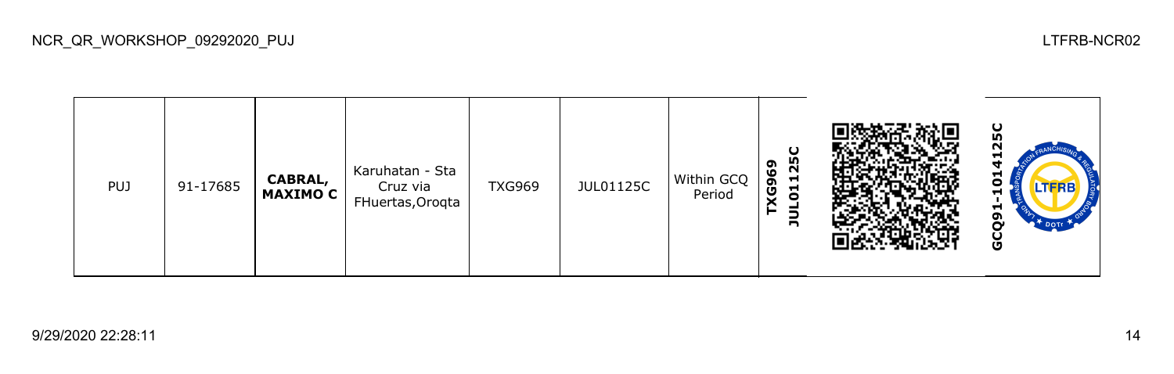## **GCQ91-1014125C**N **TXG969 JUL01125C** Karuhatan - Sta PUJ 91-17685 **CABRAL,**  TXG969 JUL01125C Within GCQ 0 Cruz via **MAXIMO C** Period FHuertas,Oroqta GCQ9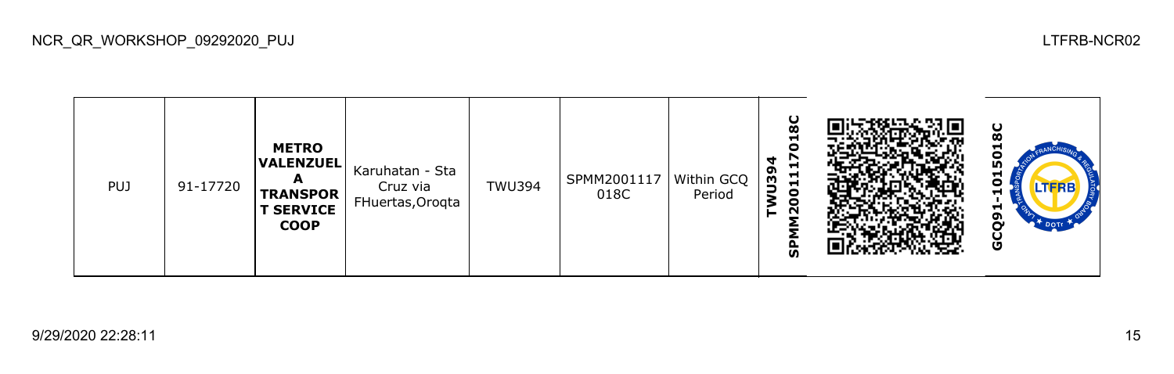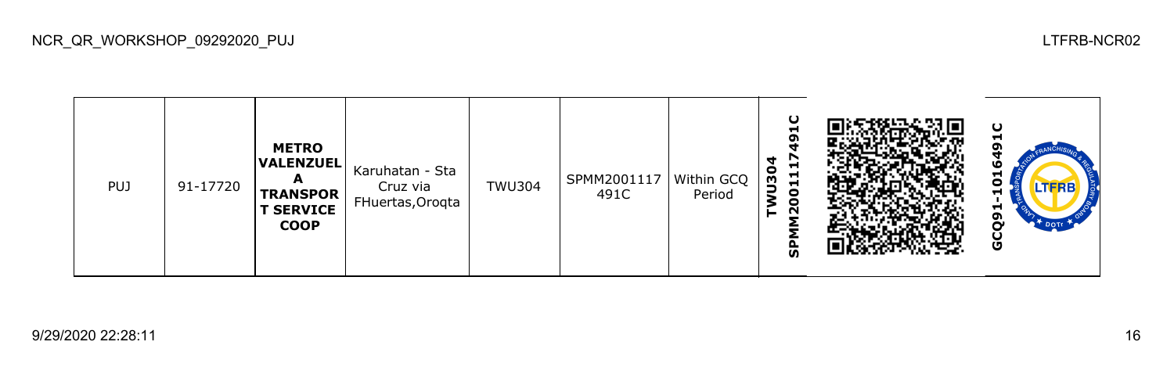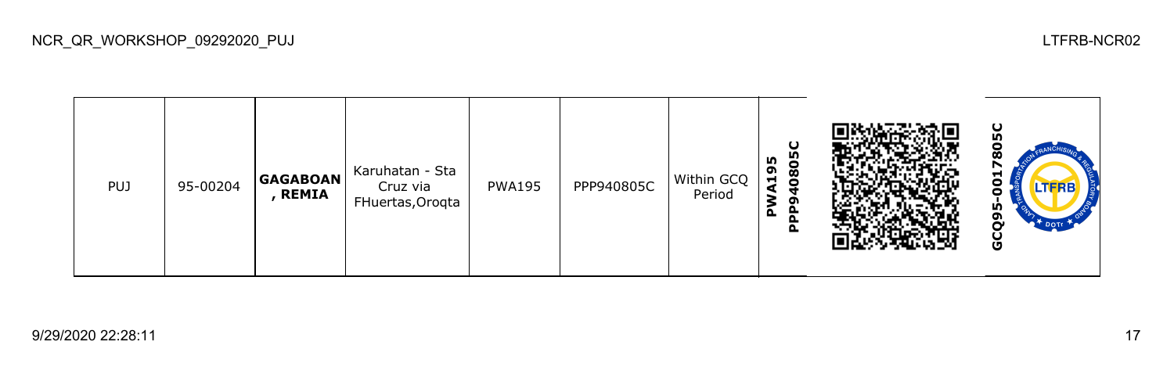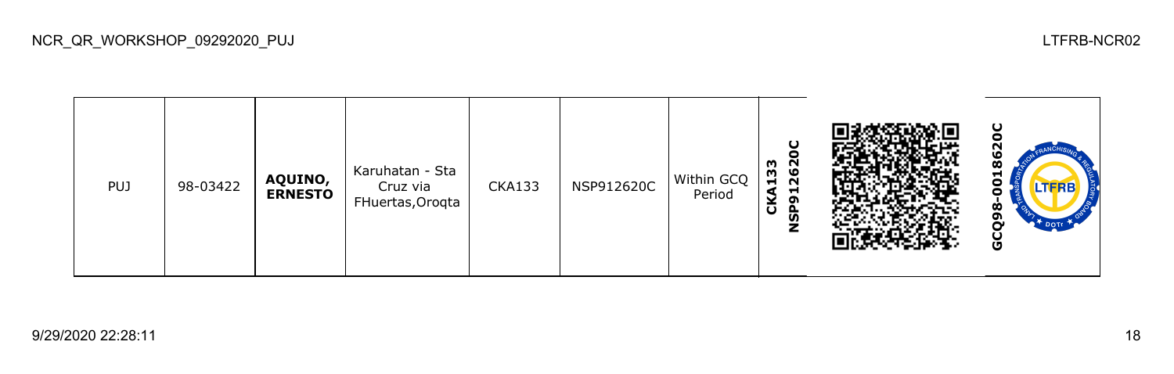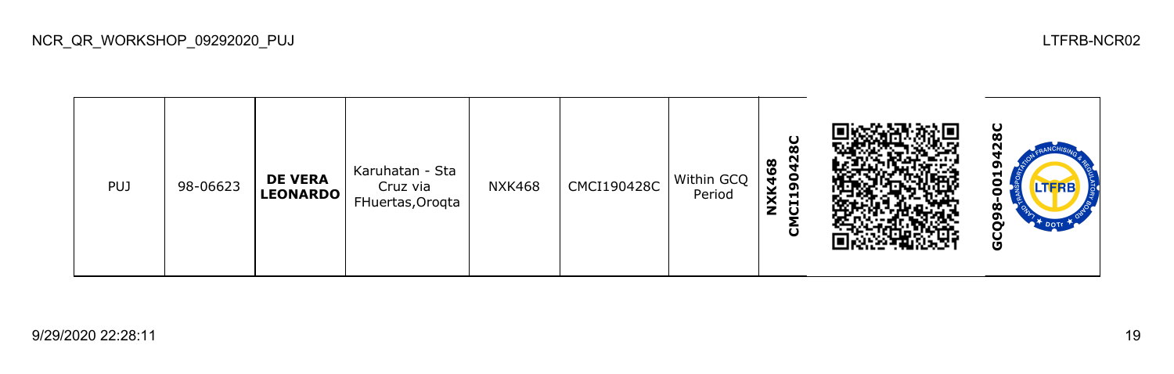မ္စ **GCQ98-0019428CCMCI190428C NXK468** Karuhatan - Sta PUJ 98-06623 **DE VERA**  NXK468 CMCI190428C Within GCQ ဠ Cruz via **LEONARDO** Period FHuertas,Oroqta GCQ98